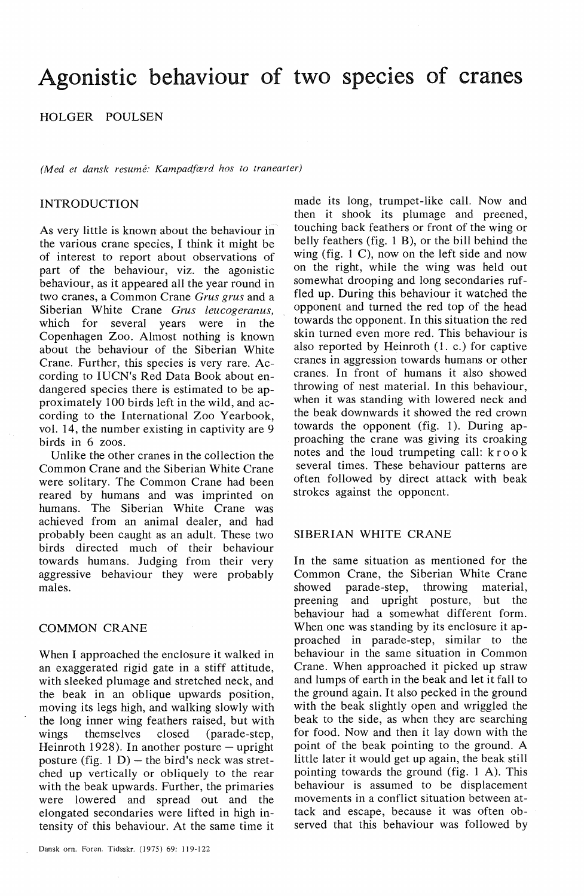# Agonistic behaviour of two species of cranes

## HOLGER POULSEN

*(Med et dansk resume: Kampadfærd hos to tranearter)* 

#### INTRODUCTION

As very little is known about the behaviour in the various crane species, I think it might be of interest to report about observations of part of the behaviour, viz. the agonistic behaviour, as it appeared all the year round in two cranes, a Common Crane *Grus grus* and a Siberian White Crane *Grus leucogeranus,*  which for several years were in the Copenhagen Zoo. Almost nothing is known about the behaviour of the Siberian White Crane. Further, this species is very rare. According to IUCN's Red Data Book about endangered species there is estimated to be approximately 100 hirds left in the wild, and according to the International Zoo Yearbook, vol. 14, the number existing in captivity are 9 hirds in 6 zoos.

Unlike the other cranes in the collection the Common Crane and the Siberian White Crane were solitary. The Common Crane had been reared by humans and was imprinted on humans. The Siberian White Crane was achieved from an animal dealer, and had probably been caught as an adult. These two hirds directed much of their behaviour towards humans. Judging from their very aggressive behaviour they were probably males.

### COMMON CRANE

When I approached the enclosure it walked in an exaggerated rigid gate in a stiff attitude, with sleeked plumage and stretched neck, and the beak in an oblique upwards position, moving its legs high, and walking slowly with the long inner wing feathers raised, but with wings themselves closed (parade-step, Heinroth 1928). In another posture  $-$  upright posture (fig.  $1 D$ ) – the bird's neck was stretched up vertically or obliquely to the rear with the beak upwards. Further, the primaries were lowered and spread out and the elongated secondaries were lifted in high intensity of this behaviour. At the same time it

made its long, trumpet-like call. Now and then it shook its plumage and preened, touching back feathers or front of the wing or belly feathers (fig. 1 B), or the bill behind the wing (fig. 1 C), now on the left side and now on the right, while the wing was held out somewhat drooping and long secondaries ruffled up. During this behaviour it watched the opponent and turned the red top of the head towards the opponent. In this situation the red skin turned even more red. This behaviour is also reported by Heinroth (1. c.) for captive cranes in aggression towards humans or other cranes. In front of humans it also showed throwing of nest material. In this behaviour, when it was standing with lowered neck and the beak downwards it showed the red crown towards the opponent (fig.  $1$ ). During approaching the crane was giving its croaking notes and the loud trumpeting call: kro o k several times. These behaviour patterns are often followed by direct attack with beak strokes against the opponent.

#### SIBERIAN WHITE CRANE

In the same situation as mentioned for the Common Crane, the Siberian White Crane showed parade-step, throwing material, preening and upright posture, but the behaviour had a somewhat different form. When one was standing by its enclosure it approached in parade-step, similar to the behaviour in the same situation in Common Crane. When approached it picked up straw and lumps of earth in the beak and let it fall to the ground again. It also pecked in the ground with the beak slightly open and wriggled the beak to the side, as when they are searching for food. Now and then it lay down with the point of the beak pointing to the ground. A little later it would get up again, the beak still pointing towards the ground (fig. 1 A). This behaviour is assumed to be displacement movements in a conflict situation between attack and escape, because it was often observed that this behaviour was followed by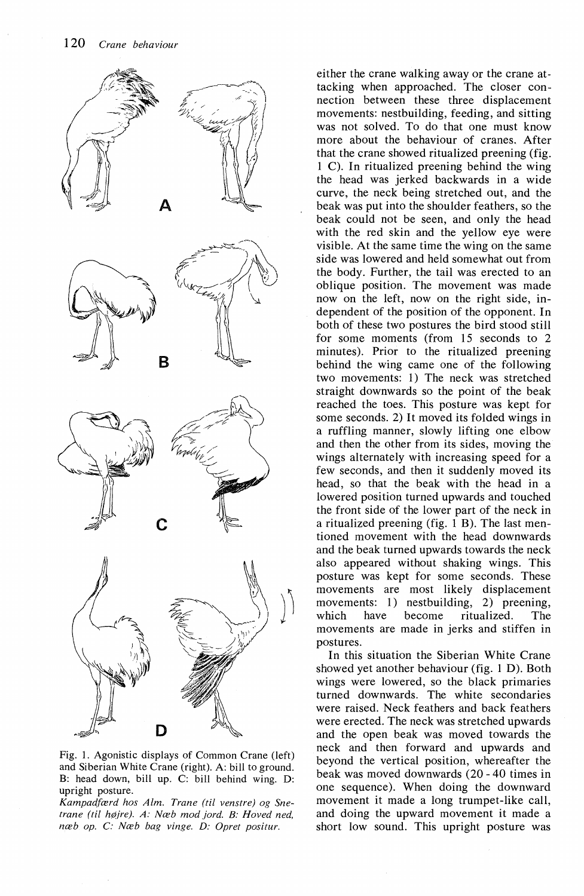

Fig. 1. Agonistic displays of Common Crane (left) and Siberian White Crane (right). A: bill to ground. B: head down, bill up. C: bill behind wing. D: upright posture.

*Kampadfærd hos Alm. Trane (til venstre) og Snetrane (til højre). A: Næb mod jord. B: Hoved ned, næb op. C: Næb bag vinge. D: Opret positur.* 

either the crane walking away or the crane attacking when approached. The closer connection between these three displacement movements: nestbuilding, feeding, and sitting was not solved. To do that one must know more about the behaviour of cranes. After that the crane showed ritualized preening (fig. 1 C). In ritualized preening behind the wing the head was jerked backwards in a wide curve, the neck being stretched out, and the beak was put into the shoulder feathers, so the beak could not be seen, and only the head with the red skin and the yellow eye were visible. At the same time the wing on the same side was lowered and held somewhat out from the body. Further, the tail was erected to an oblique position. The movement was made now on the left, now on the right side, independent of the position of the opponent. In both of these two postures the bird stood still for some moments (from 15 seconds to 2 minutes). Prior to the ritualized preening behind the wing came one of the following two movements: 1) The neck was stretched straight downwards so the point of the beak reached the toes. This posture was kept for some seconds. 2) It moved its folded wings in a ruffling manner, slowly lifting one elbow and then the other from its sides, moving the wings alternately with increasing speed for a few seconds, and then it suddenly moved its head, so that the beak with the head in a lowered position turned upwards and touched the front side of the lower part of the neck in a ritualized preening (fig. 1 B). The last mentioned movement with the head downwards and the beak turned upwards towards the neck also appeared without shaking wings. This posture was kept for some seconds. These movements are most likely displacement movements: 1) nestbuilding, 2) preening, which have become ritualized. The movements are made in jerks and stiffen in postures.

In this situation the Siberian White Crane showed yet another behaviour (fig. 1 D). Both wings were lowered, so the black primaries turned downwards. The white secondaries were raised. Neck feathers and back feathers were erected. The neck was stretched upwards and the open beak was moved towards the neck and then forward and upwards and beyond the vertical position, whereafter the beak was moved downwards (20 - 40 times in one sequence). When doing the downward movement it made a long trumpet-like call, and doing the upward movement it made a short low sound. This upright posture was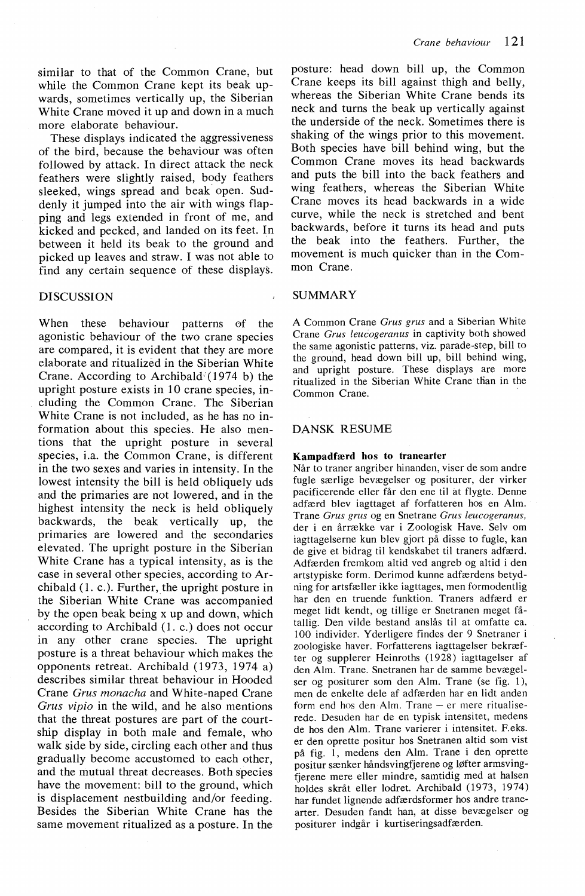similar to that of the Common Crane, but while the Common Crane kept its beak upwards, sometimes vertically up, the Siberian White Crane moved it up and down in a much more elaborate behaviour.

These displays indicated the aggressiveness of the bird, because the behaviour was often followed by attack. In direct attack the neck feathers were slightly raised, body feathers sleeked, wings spread and beak open. Suddenly it jumped into the air with wings flapping and legs extended in front of me, and kicked and pecked, and landed on its feet. In between it held its beak to the ground and picked up leaves and straw. I was not able to find any certain sequence of these displays.

#### DISCUSSION

When these behaviour patterns of the agonistic behaviour of the two crane species are compared, it is evident that they are more elaborate and ritualized in the Siberian White Crane. According to Archibald  $(1974 b)$  the upright posture exists in 10 crane species, including the Common Crane. The Siberian White Crane is not included, as he has no information about this species. He also mentions that the upright posture in several species, i.a. the Common Crane, is different in the two sexes and varies in intensity. In the lowest intensity the bill is held obliquely uds and the primaries are not lowered, and in the highest intensity the neck is held obliquely backwards, the beak vertically up, the primaries are lowered and the secondaries elevated. The upright posture in the Siberian White Crane has a typical intensity, as is the case in several other species, according to Archibald (1. c.). Further, the upright posture in the Siberian White Crane was accompanied by the open beak being x up and down, which according to Archibald (1. c.) does not occur in any other crane species. The upright posture is a threat behaviour which makes the opponents retreat. Archibald (1973, 1974 a) describes similar threat behaviour in Hooded Crane *Grus monacha* and White-naped Crane *Grus vipio* in the wild, and he also mentions that the threat postures are part of the courtship display in both male and female, who walk side by side, circling each other and thus gradually become accustomed to each other, and the mutual threat decreases. Both species have the movement: bill to the ground, which is displacement nestbuilding and/or feeding. Besides the Siberian White Crane has the same movement ritualized as a posture. In the

posture: head down bill up, the Common Crane keeps its bill against thigh and belly, whereas the Siberian White Crane bends its neck and turns the beak up vertically against the underside of the neck. Sometimes there is shaking of the wings prior to this movement. Both species have bill behind wing, but the Common Crane moves its head backwards and puts the bill into the back feathers and wing feathers, whereas the Siberian White Crane moves its head backwards in a wide curve, while the neck is stretched and bent backwards, before it turns its head and puts the beak into the feathers. Further, the movement is much quicker than in the Common Crane.

#### SUMMARY

A Common Crane *Grus grus* and a Siberian White Crane *Grus leucogeranus* in captivity both showed the same agonistic patterns, viz. parade-step, bill to the ground, head down bill up, bill behind wing, and upright posture. These displays are more ritualized in the Siberian White Crane than in the Common Crane.

#### DANSK RESUME

#### Kampadfærd hos to tranearter

Når to traner angriber hinanden, viser de som andre fugle særlige bevægelser og positurer, der virker pacificerende eller får den ene til at flygte. Denne adfærd blev iagttaget af forfatteren hos en Alm. Trane *Grus grus* og en Snetrane *Grus leucogeranus,*  der i en årrække var i Zoologisk Have. Selv om iagttagelserne kun blev gjort på disse to fugle, kan de give et bidrag til kendskabet til traners adfærd. Adfærden fremkom altid ved angreb og altid i den artstypiske form. Derimod kunne adfærdens betydning for artsfæller ikke iagttages, men formodentlig har den en truende funktion. Traners adfærd er meget lidt kendt, og tillige er Snetranen meget fåtallig. Den vilde bestand anslås til at omfatte ca. I 00 individer. Yderligere findes der 9 Snetraner i zoologiske haver. Forfatterens iagttagelser bekræfter og supplerer Heinroths (1928) iagttagelser af den Alm. Trane. Snetranen har de samme bevægelser og positurer som den Alm. Trane (se fig. 1 ), men de enkelte dele af adfærden har en lidt anden form end hos den Alm. Trane - er mere ritualiserede. Desuden har de en typisk intensitet, medens de hos den Alm. Trane varierer i intensitet. F.eks. er den oprette positur hos Snetranen altid som vist på fig. I, medens den Alm. Trane i den oprette positur sænker håndsvingfjerene og løfter armsvingfjerene mere eller mindre, samtidig med at halsen holdes skråt eller lodret. Archibald (1973, 1974) har fundet lignende adfærdsformer hos andre tranearter. Desuden fandt han, at disse bevægelser og positurer indgår i kurtiseringsadfærden.